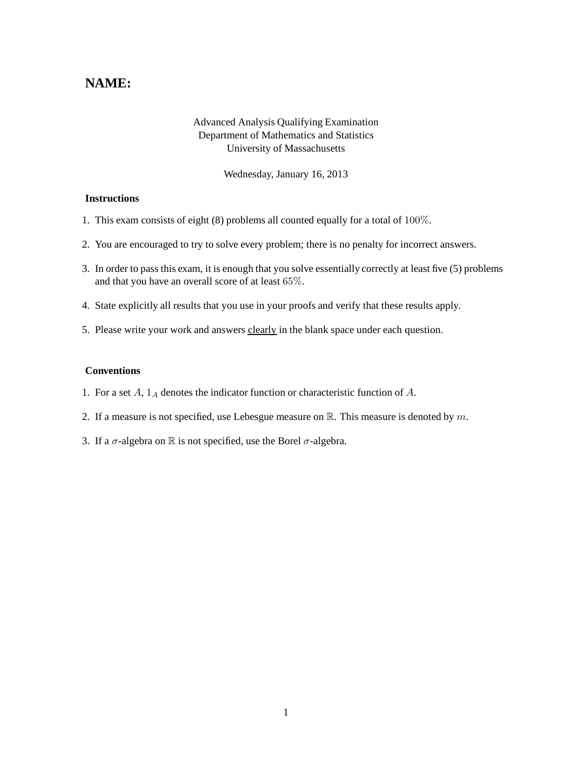## **NAME:**

## Advanced Analysis Qualifying Examination Department of Mathematics and Statistics University of Massachusetts

Wednesday, January 16, 2013

## **Instructions**

- 1. This exam consists of eight (8) problems all counted equally for a total of 100%.
- 2. You are encouraged to try to solve every problem; there is no penalty for incorrect answers.
- 3. In order to pass this exam, it is enough that you solve essentially correctly at least five (5) problems and that you have an overall score of at least 65%.
- 4. State explicitly all results that you use in your proofs and verify that these results apply.
- 5. Please write your work and answers clearly in the blank space under each question.

## **Conventions**

- 1. For a set  $A$ ,  $1_A$  denotes the indicator function or characteristic function of  $A$ .
- 2. If a measure is not specified, use Lebesgue measure on  $\mathbb{R}$ . This measure is denoted by m.
- 3. If a  $\sigma$ -algebra on  $\mathbb R$  is not specified, use the Borel  $\sigma$ -algebra.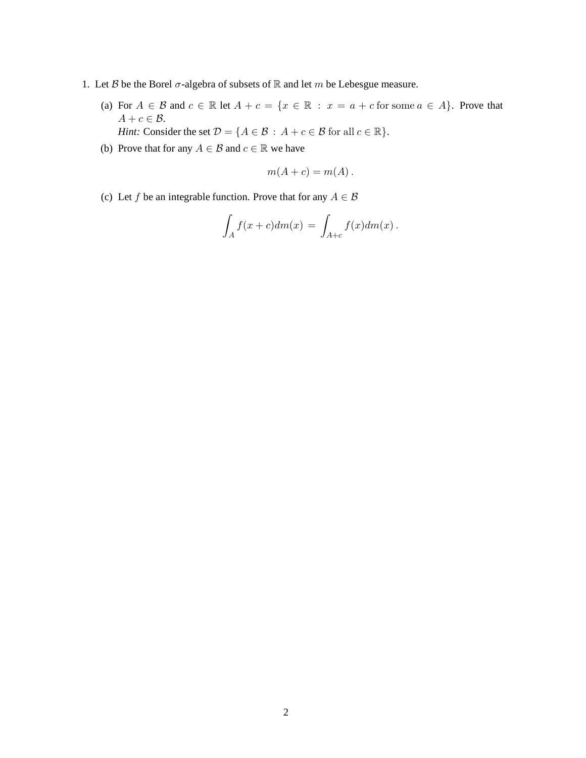- 1. Let  $B$  be the Borel  $\sigma$ -algebra of subsets of  $\mathbb R$  and let  $m$  be Lebesgue measure.
	- (a) For  $A \in \mathcal{B}$  and  $c \in \mathbb{R}$  let  $A + c = \{x \in \mathbb{R} : x = a + c$  for some  $a \in A\}$ . Prove that  $A + c \in \mathcal{B}$ . *Hint:* Consider the set  $\mathcal{D} = \{A \in \mathcal{B} : A + c \in \mathcal{B} \text{ for all } c \in \mathbb{R}\}.$
	- (b) Prove that for any  $A \in \mathcal{B}$  and  $c \in \mathbb{R}$  we have

$$
m(A + c) = m(A).
$$

(c) Let f be an integrable function. Prove that for any  $A \in \mathcal{B}$ 

$$
\int_A f(x+c)dm(x) = \int_{A+c} f(x)dm(x).
$$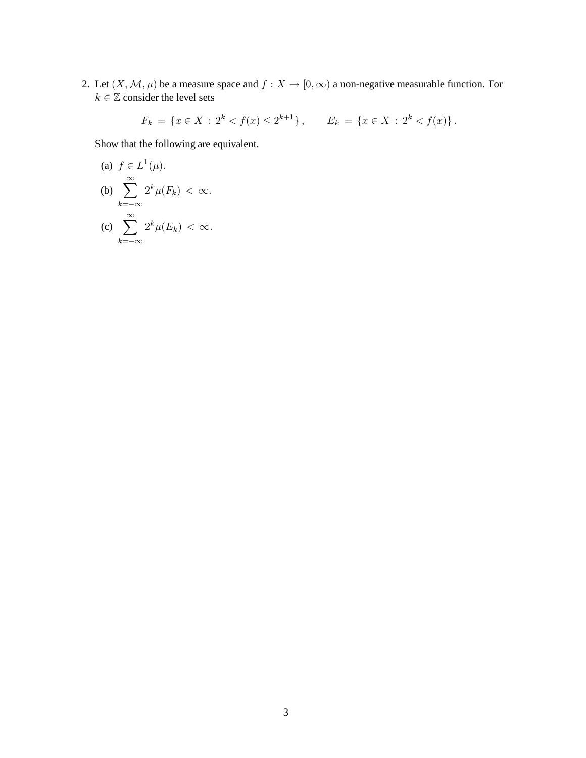2. Let  $(X, \mathcal{M}, \mu)$  be a measure space and  $f : X \to [0, \infty)$  a non-negative measurable function. For  $k \in \mathbb{Z}$  consider the level sets

$$
F_k = \{ x \in X : 2^k < f(x) \le 2^{k+1} \}, \qquad E_k = \{ x \in X : 2^k < f(x) \}.
$$

Show that the following are equivalent.

(a) 
$$
f \in L^1(\mu)
$$
.  
\n(b)  $\sum_{k=-\infty}^{\infty} 2^k \mu(F_k) < \infty$ .  
\n(c)  $\sum_{k=-\infty}^{\infty} 2^k \mu(E_k) < \infty$ .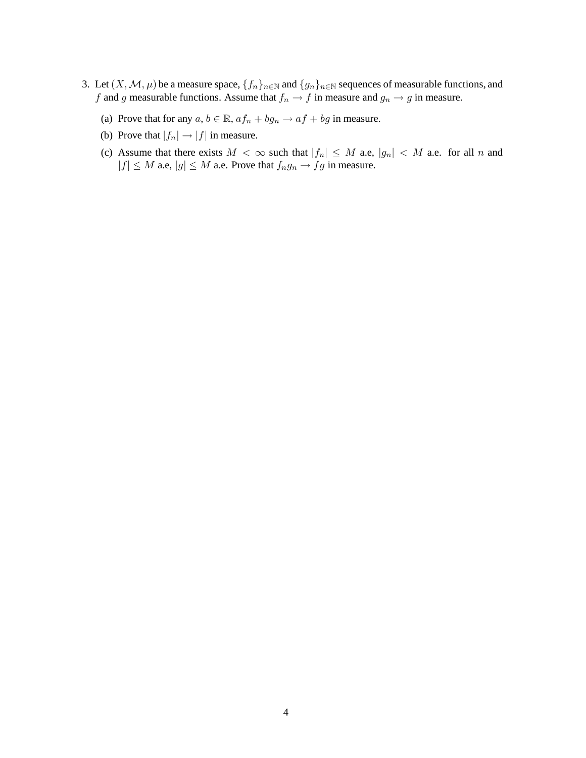- 3. Let  $(X, \mathcal{M}, \mu)$  be a measure space,  $\{f_n\}_{n\in\mathbb{N}}$  and  $\{g_n\}_{n\in\mathbb{N}}$  sequences of measurable functions, and  $f$  and  $g$  measurable functions. Assume that  $f_n \to f$  in measure and  $g_n \to g$  in measure.
	- (a) Prove that for any  $a, b \in \mathbb{R}$ ,  $af_n + bg_n \rightarrow af + bg$  in measure.
	- (b) Prove that  $|f_n| \to |f|$  in measure.
	- (c) Assume that there exists  $M < \infty$  such that  $|f_n| \leq M$  a.e.,  $|g_n| < M$  a.e. for all n and  $|f| \leq M$  a.e,  $|g| \leq M$  a.e. Prove that  $f_n g_n \to fg$  in measure.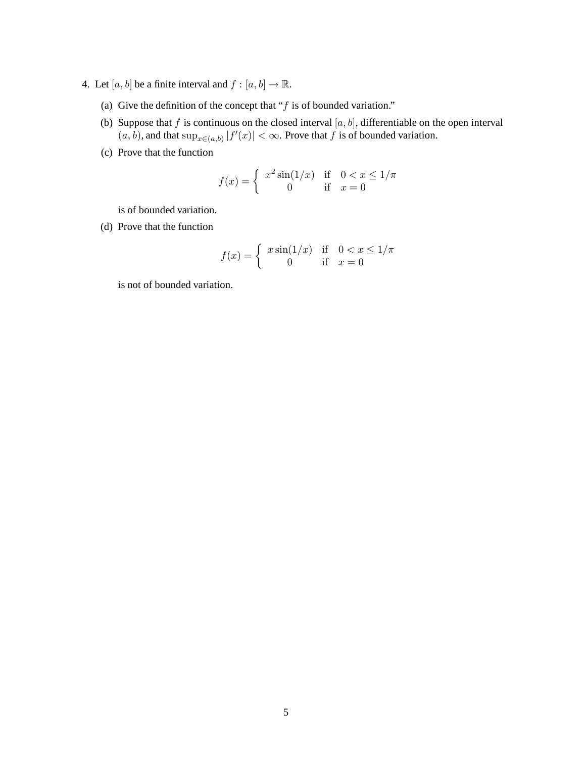- 4. Let  $[a, b]$  be a finite interval and  $f : [a, b] \to \mathbb{R}$ .
	- (a) Give the definition of the concept that " $f$  is of bounded variation."
	- (b) Suppose that f is continuous on the closed interval  $[a, b]$ , differentiable on the open interval  $(a, b)$ , and that  $\sup_{x \in (a, b)} |f'(x)| < \infty$ . Prove that f is of bounded variation.
	- (c) Prove that the function

$$
f(x) = \begin{cases} x^2 \sin(1/x) & \text{if } 0 < x \le 1/\pi \\ 0 & \text{if } x = 0 \end{cases}
$$

is of bounded variation.

(d) Prove that the function

$$
f(x) = \begin{cases} x \sin(1/x) & \text{if } 0 < x \le 1/\pi \\ 0 & \text{if } x = 0 \end{cases}
$$

is not of bounded variation.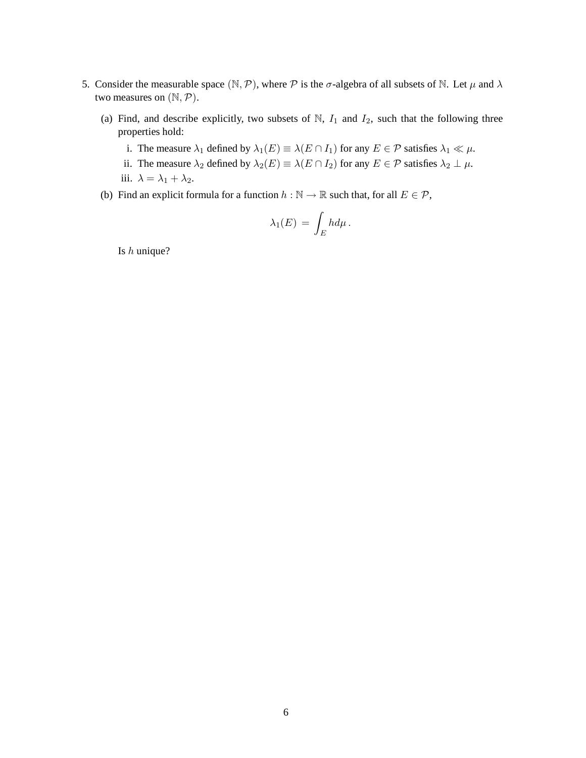- 5. Consider the measurable space  $(\mathbb{N}, \mathcal{P})$ , where  $\mathcal P$  is the  $\sigma$ -algebra of all subsets of  $\mathbb N$ . Let  $\mu$  and  $\lambda$ two measures on  $(N, P)$ .
	- (a) Find, and describe explicitly, two subsets of  $\mathbb{N}$ ,  $I_1$  and  $I_2$ , such that the following three properties hold:
		- i. The measure  $\lambda_1$  defined by  $\lambda_1(E) \equiv \lambda(E \cap I_1)$  for any  $E \in \mathcal{P}$  satisfies  $\lambda_1 \ll \mu$ .
		- ii. The measure  $\lambda_2$  defined by  $\lambda_2(E) \equiv \lambda(E \cap I_2)$  for any  $E \in \mathcal{P}$  satisfies  $\lambda_2 \perp \mu$ . iii.  $\lambda = \lambda_1 + \lambda_2$ .
	- (b) Find an explicit formula for a function  $h : \mathbb{N} \to \mathbb{R}$  such that, for all  $E \in \mathcal{P}$ ,

$$
\lambda_1(E) = \int_E h d\mu.
$$

Is h unique?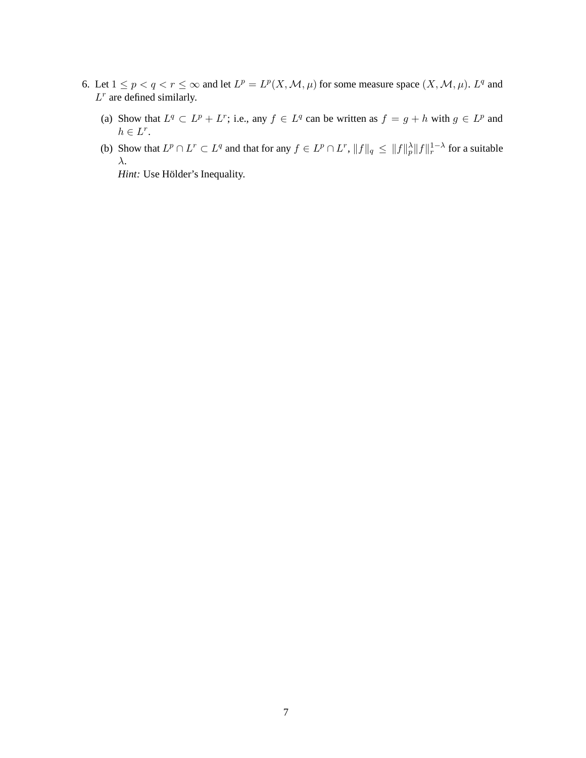- 6. Let  $1 \le p < q < r \le \infty$  and let  $L^p = L^p(X, \mathcal{M}, \mu)$  for some measure space  $(X, \mathcal{M}, \mu)$ .  $L^q$  and  $L^r$  are defined similarly.
	- (a) Show that  $L^q \subset L^p + L^r$ ; i.e., any  $f \in L^q$  can be written as  $f = g + h$  with  $g \in L^p$  and  $h \in L^r$ .
	- (b) Show that  $L^p \cap L^r \subset L^q$  and that for any  $f \in L^p \cap L^r$ ,  $||f||_q \le ||f||_p^{\lambda} ||f||_r^{1-\lambda}$  for a suitable λ.

*Hint:* Use Hölder's Inequality.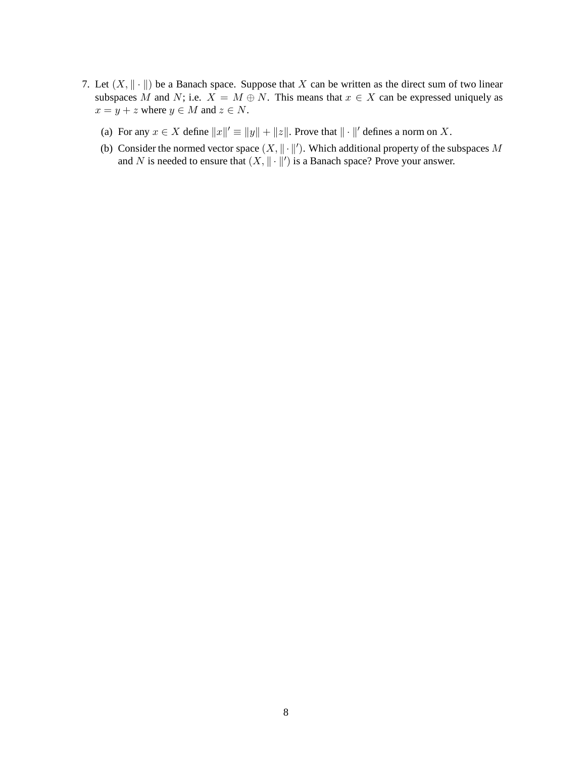- 7. Let  $(X, \|\cdot\|)$  be a Banach space. Suppose that X can be written as the direct sum of two linear subspaces M and N; i.e.  $X = M \oplus N$ . This means that  $x \in X$  can be expressed uniquely as  $x = y + z$  where  $y \in M$  and  $z \in N$ .
	- (a) For any  $x \in X$  define  $||x||' \equiv ||y|| + ||z||$ . Prove that  $|| \cdot ||'$  defines a norm on X.
	- (b) Consider the normed vector space  $(X, \|\cdot\|')$ . Which additional property of the subspaces M and N is needed to ensure that  $(X, \|\cdot\|')$  is a Banach space? Prove your answer.